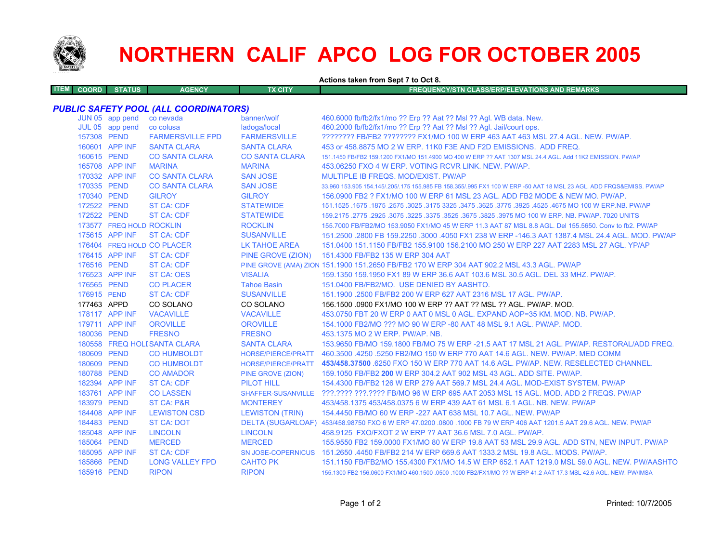

## **NORTHERN CALIF APCO LOG FOR OCTOBER 2005**

**Actions taken from Sept 7 to Oct 8.**

| ITEM I | <b>COORD</b> N | <b>STATUS</b> | <b>AGENCY</b> | TX CITY | <b>FREQUENCY/STN CLASS/ERP/ELEVATIONS AND REMARKS</b> |
|--------|----------------|---------------|---------------|---------|-------------------------------------------------------|
|        |                |               |               |         |                                                       |

## *PUBLIC SAFETY POOL (ALL COORDINATORS)*

|             | JUN 05 app pend          | co nevada                    | banner/wolf                     | 460.6000 fb/fb2/fx1/mo ?? Erp ?? Aat ?? Msl ?? Agl. WB data. New.                                                   |
|-------------|--------------------------|------------------------------|---------------------------------|---------------------------------------------------------------------------------------------------------------------|
|             | JUL 05 app pend          | co colusa                    | ladoga/local                    | 460.2000 fb/fb2/fx1/mo ?? Erp ?? Aat ?? Msl ?? Agl. Jail/court ops.                                                 |
| 157308 PEND |                          | <b>FARMERSVILLE FPD</b>      | <b>FARMERSVILLE</b>             | ???????? FB/FB2 ???????? FX1/MO 100 W ERP 463 AAT 463 MSL 27.4 AGL, NEW, PW/AP,                                     |
|             | 160601 APP INF           | <b>SANTA CLARA</b>           | <b>SANTA CLARA</b>              | 453 or 458,8875 MO 2 W ERP, 11K0 F3E AND F2D EMISSIONS. ADD FREQ.                                                   |
| 160615 PEND |                          | <b>CO SANTA CLARA</b>        | <b>CO SANTA CLARA</b>           | 151.1450 FB/FB2 159.1200 FX1/MO 151.4900 MO 400 W ERP ?? AAT 1307 MSL 24.4 AGL, Add 11K2 EMISSION, PW/AP            |
|             | 165708 APP INF           | <b>MARINA</b>                | <b>MARINA</b>                   | 453.06250 FXO 4 W ERP. VOTING RCVR LINK, NEW, PW/AP.                                                                |
|             | 170332 APP INF           | <b>CO SANTA CLARA</b>        | <b>SAN JOSE</b>                 | MULTIPLE IB FREQS. MOD/EXIST. PW/AP                                                                                 |
| 170335 PEND |                          | <b>CO SANTA CLARA</b>        | <b>SAN JOSE</b>                 | 33.960 153.905 154.145/.205/.175 155.985 FB 158.355/.995 FX1 100 W ERP -50 AAT 18 MSL 23 AGL. ADD FRQS&EMISS. PW/AP |
| 170340 PEND |                          | <b>GILROY</b>                | <b>GILROY</b>                   | 156.0900 FB2 ? FX1/MO 100 W ERP 61 MSL 23 AGL. ADD FB2 MODE & NEW MO. PW/AP.                                        |
| 172522 PEND |                          | <b>ST CA: CDF</b>            | <b>STATEWIDE</b>                | 151.1525 .1675 .1875 .2575 .3025 .3175 3325 .3475 .3625 .3775 .3925 .4525 .4675 MO 100 W ERP.NB. PW/AP              |
| 172522 PEND |                          | <b>ST CA: CDF</b>            | <b>STATEWIDE</b>                | 159.2175 .2775 .2925 .3075 .3225 .3775 .3675 .3675 .3825 .3975 MO 100 W ERP. NB. PW/AP. 7020 UNITS                  |
|             | 173577 FREQ HOLD ROCKLIN |                              | <b>ROCKLIN</b>                  | 155.7000 FB/FB2/MO 153.9050 FX1/MO 45 W ERP 11.3 AAT 87 MSL 8.8 AGL. Del 155.5650. Conv to fb2. PW/AP               |
|             | 175615 APP INF           | <b>ST CA: CDF</b>            | <b>SUSANVILLE</b>               | 151.2500 .2800 FB 159.2250 .3000 .4050 FX1 238 W ERP -146.3 AAT 1387.4 MSL 24.4 AGL, MOD, PW/AP                     |
|             |                          | 176404 FREQ HOLD CO PLACER   | LK TAHOE AREA                   | 151.0400 151.1150 FB/FB2 155.9100 156.2100 MO 250 W ERP 227 AAT 2283 MSL 27 AGL, YP/AP                              |
|             | 176415 APP INF           | <b>ST CA: CDF</b>            |                                 | PINE GROVE (ZION) 151.4300 FB/FB2 135 W ERP 304 AAT                                                                 |
| 176516 PEND |                          | <b>ST CA: CDF</b>            |                                 | PINE GROVE (AMA) ZION 151.1900 151.2650 FB/FB2 170 W ERP 304 AAT 902.2 MSL 43.3 AGL. PW/AP                          |
|             | 176523 APP INF           | <b>ST CA: OES</b>            | <b>VISALIA</b>                  | 159.1350 159.1950 FX1 89 W ERP 36.6 AAT 103.6 MSL 30.5 AGL, DEL 33 MHZ, PW/AP,                                      |
| 176565 PEND |                          | <b>CO PLACER</b>             | <b>Tahoe Basin</b>              | 151.0400 FB/FB2/MO. USE DENIED BY AASHTO.                                                                           |
| 176915 PEND |                          | <b>ST CA: CDF</b>            | <b>SUSANVILLE</b>               | 151.1900 .2500 FB/FB2 200 W ERP 627 AAT 2316 MSL 17 AGL, PW/AP.                                                     |
| 177463 APPD |                          | CO SOLANO                    | CO SOLANO                       | 156.1500 0900 FX1/MO 100 W ERP ?? AAT ?? MSL ?? AGL. PW/AP. MOD.                                                    |
|             | 178117 APP INF           | <b>VACAVILLE</b>             | <b>VACAVILLE</b>                | 453.0750 FBT 20 W ERP 0 AAT 0 MSL 0 AGL. EXPAND AOP=35 KM, MOD, NB, PW/AP,                                          |
|             | 179711 APP INF           | <b>OROVILLE</b>              | <b>OROVILLE</b>                 | 154,1000 FB2/MO ??? MO 90 W ERP -80 AAT 48 MSL 9.1 AGL, PW/AP, MOD.                                                 |
| 180036 PEND |                          | <b>FRESNO</b>                | <b>FRESNO</b>                   | 453.1375 MO 2 W ERP. PW/AP. NB.                                                                                     |
|             |                          | 180558 FREQ HOLI SANTA CLARA | <b>SANTA CLARA</b>              | 153,9650 FB/MO 159,1800 FB/MO 75 W ERP -21.5 AAT 17 MSL 21 AGL, PW/AP, RESTORAL/ADD FREQ.                           |
| 180609 PEND |                          | <b>CO HUMBOLDT</b>           | HORSE/PIERCE/PRATT              | 460.3500 .4250 .5250 FB2/MO 150 W ERP 770 AAT 14.6 AGL. NEW. PW/AP. MED COMM                                        |
| 180609 PEND |                          | <b>CO HUMBOLDT</b>           |                                 | HORSE/PIERCE/PRATT 453/458.37500 6250 FXO 150 W ERP 770 AAT 14.6 AGL. PW/AP. NEW. RESELECTED CHANNEL.               |
| 180788 PEND |                          | <b>CO AMADOR</b>             | PINE GROVE (ZION)               | 159.1050 FB/FB2 200 W ERP 304.2 AAT 902 MSL 43 AGL, ADD SITE, PW/AP.                                                |
|             | 182394 APP INF           | <b>ST CA: CDF</b>            | <b>PILOT HILL</b>               | 154,4300 FB/FB2 126 W ERP 279 AAT 569.7 MSL 24.4 AGL, MOD-EXIST SYSTEM, PW/AP                                       |
|             | 183761 APP INF           | <b>CO LASSEN</b>             |                                 | SHAFFER-SUSANVILLE ???.???? ???.???? FB/MO 96 W ERP 695 AAT 2053 MSL 15 AGL, MOD, ADD 2 FREQS, PW/AP                |
| 183979 PEND |                          | <b>ST CA: P&amp;R</b>        | <b>MONTEREY</b>                 | 453/458,1375 453/458,0375 6 W ERP 439 AAT 61 MSL 6.1 AGL, NB, NEW, PW/AP                                            |
|             | 184408 APP INF           | <b>LEWISTON CSD</b>          | <b>LEWISTON (TRIN)</b>          | 154,4450 FB/MO 60 W ERP - 227 AAT 638 MSL 10.7 AGL, NEW, PW/AP                                                      |
| 184483 PEND |                          | <b>ST CA: DOT</b>            |                                 | DELTA (SUGARLOAF) 453/458.98750 FXO 6 W ERP 47.0200 .0800 .1000 FB 79 W ERP 406 AAT 1201.5 AAT 29.6 AGL. NEW. PW/AP |
|             | 185048 APP INF           | <b>LINCOLN</b>               | <b>LINCOLN</b>                  | 458.9125 FXO/FXOT 2 W ERP ?? AAT 36.6 MSL 7.0 AGL, PW/AP.                                                           |
|             |                          |                              |                                 |                                                                                                                     |
| 185064 PEND |                          | <b>MERCED</b>                | <b>MERCED</b>                   | 155.9550 FB2 159.0000 FX1/MO 80 W ERP 19.8 AAT 53 MSL 29.9 AGL. ADD STN, NEW INPUT. PW/AP                           |
|             | 185095 APP INF           | <b>ST CA: CDF</b>            |                                 | SN JOSE-COPERNICUS 151.2650 .4450 FB/FB2 214 W ERP 669.6 AAT 1333.2 MSL 19.8 AGL, MODS, PW/AP,                      |
| 185866 PEND |                          | <b>LONG VALLEY FPD</b>       | <b>CAHTO PK</b><br><b>RIPON</b> | 151.1150 FB/FB2/MO 155.4300 FX1/MO 14.5 W ERP 652.1 AAT 1219.0 MSL 59.0 AGL. NEW. PW/AASHTO                         |